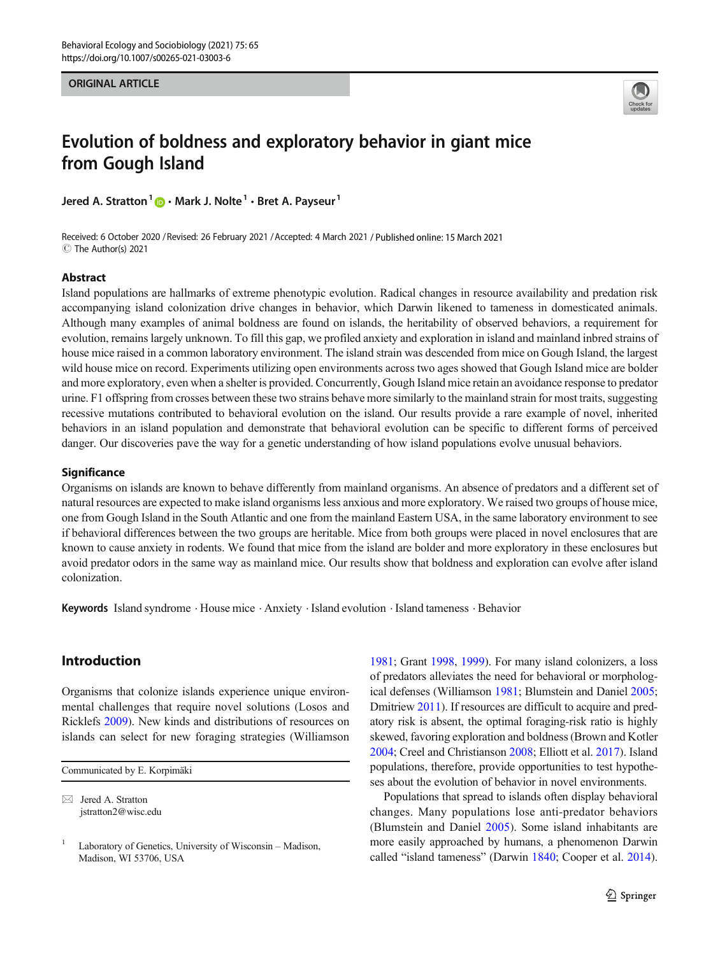#### ORIGINAL ARTICLE



# Evolution of boldness and exploratory behavior in giant mice from Gough Island

Jered A. Stratton<sup>1</sup>  $\bullet \cdot$  Mark J. Nolte<sup>1</sup>  $\cdot$  Bret A. Payseur<sup>1</sup>

Received: 6 October 2020 / Revised: 26 February 2021 /Accepted: 4 March 2021 / Published online: 15 March 2021 C The Author(s) 2021

## Abstract

Island populations are hallmarks of extreme phenotypic evolution. Radical changes in resource availability and predation risk accompanying island colonization drive changes in behavior, which Darwin likened to tameness in domesticated animals. Although many examples of animal boldness are found on islands, the heritability of observed behaviors, a requirement for evolution, remains largely unknown. To fill this gap, we profiled anxiety and exploration in island and mainland inbred strains of house mice raised in a common laboratory environment. The island strain was descended from mice on Gough Island, the largest wild house mice on record. Experiments utilizing open environments across two ages showed that Gough Island mice are bolder and more exploratory, even when a shelter is provided. Concurrently, Gough Island mice retain an avoidance response to predator urine. F1 offspring from crosses between these two strains behave more similarly to the mainland strain for most traits, suggesting recessive mutations contributed to behavioral evolution on the island. Our results provide a rare example of novel, inherited behaviors in an island population and demonstrate that behavioral evolution can be specific to different forms of perceived danger. Our discoveries pave the way for a genetic understanding of how island populations evolve unusual behaviors.

#### **Significance**

Organisms on islands are known to behave differently from mainland organisms. An absence of predators and a different set of natural resources are expected to make island organisms less anxious and more exploratory. We raised two groups of house mice, one from Gough Island in the South Atlantic and one from the mainland Eastern USA, in the same laboratory environment to see if behavioral differences between the two groups are heritable. Mice from both groups were placed in novel enclosures that are known to cause anxiety in rodents. We found that mice from the island are bolder and more exploratory in these enclosures but avoid predator odors in the same way as mainland mice. Our results show that boldness and exploration can evolve after island colonization.

Keywords Island syndrome . House mice . Anxiety . Island evolution . Island tameness . Behavior

# Introduction

Organisms that colonize islands experience unique environmental challenges that require novel solutions (Losos and Ricklefs [2009\)](#page-10-0). New kinds and distributions of resources on islands can select for new foraging strategies (Williamson

Communicated by E. Korpimäki

[1981;](#page-10-0) Grant [1998,](#page-10-0) [1999\)](#page-10-0). For many island colonizers, a loss of predators alleviates the need for behavioral or morphological defenses (Williamson [1981;](#page-10-0) Blumstein and Daniel [2005;](#page-9-0) Dmitriew [2011\)](#page-10-0). If resources are difficult to acquire and predatory risk is absent, the optimal foraging-risk ratio is highly skewed, favoring exploration and boldness (Brown and Kotler [2004;](#page-9-0) Creel and Christianson [2008](#page-9-0); Elliott et al. [2017\)](#page-10-0). Island populations, therefore, provide opportunities to test hypotheses about the evolution of behavior in novel environments.

Populations that spread to islands often display behavioral changes. Many populations lose anti-predator behaviors (Blumstein and Daniel [2005\)](#page-9-0). Some island inhabitants are more easily approached by humans, a phenomenon Darwin called "island tameness" (Darwin [1840;](#page-10-0) Cooper et al. [2014\)](#page-9-0).

 $\boxtimes$  Jered A. Stratton [jstratton2@wisc.edu](mailto:jstratton2@wisc.edu)

Laboratory of Genetics, University of Wisconsin – Madison, Madison, WI 53706, USA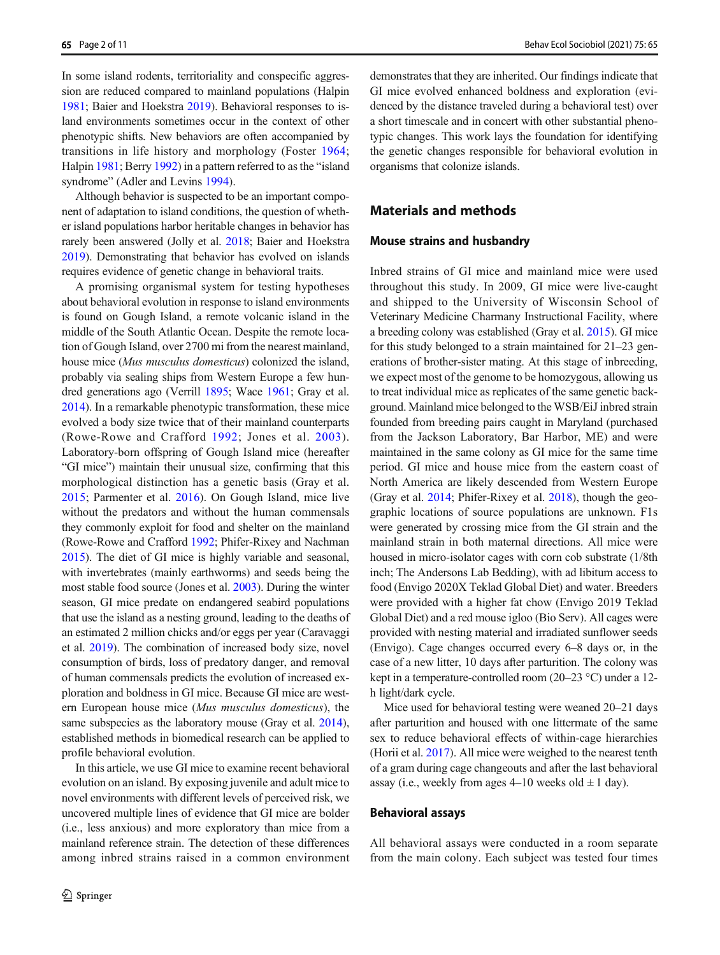In some island rodents, territoriality and conspecific aggression are reduced compared to mainland populations (Halpin [1981;](#page-10-0) Baier and Hoekstra [2019\)](#page-9-0). Behavioral responses to island environments sometimes occur in the context of other phenotypic shifts. New behaviors are often accompanied by transitions in life history and morphology (Foster [1964](#page-10-0); Halpin [1981;](#page-10-0) Berry [1992\)](#page-9-0) in a pattern referred to as the "island syndrome" (Adler and Levins [1994](#page-9-0)).

Although behavior is suspected to be an important component of adaptation to island conditions, the question of whether island populations harbor heritable changes in behavior has rarely been answered (Jolly et al. [2018](#page-10-0); Baier and Hoekstra [2019\)](#page-9-0). Demonstrating that behavior has evolved on islands requires evidence of genetic change in behavioral traits.

A promising organismal system for testing hypotheses about behavioral evolution in response to island environments is found on Gough Island, a remote volcanic island in the middle of the South Atlantic Ocean. Despite the remote location of Gough Island, over 2700 mi from the nearest mainland, house mice (*Mus musculus domesticus*) colonized the island, probably via sealing ships from Western Europe a few hundred generations ago (Verrill [1895;](#page-10-0) Wace [1961](#page-10-0); Gray et al. [2014\)](#page-10-0). In a remarkable phenotypic transformation, these mice evolved a body size twice that of their mainland counterparts (Rowe-Rowe and Crafford [1992](#page-10-0); Jones et al. [2003\)](#page-10-0). Laboratory-born offspring of Gough Island mice (hereafter "GI mice") maintain their unusual size, confirming that this morphological distinction has a genetic basis (Gray et al. [2015;](#page-10-0) Parmenter et al. [2016](#page-10-0)). On Gough Island, mice live without the predators and without the human commensals they commonly exploit for food and shelter on the mainland (Rowe-Rowe and Crafford [1992](#page-10-0); Phifer-Rixey and Nachman [2015\)](#page-10-0). The diet of GI mice is highly variable and seasonal, with invertebrates (mainly earthworms) and seeds being the most stable food source (Jones et al. [2003](#page-10-0)). During the winter season, GI mice predate on endangered seabird populations that use the island as a nesting ground, leading to the deaths of an estimated 2 million chicks and/or eggs per year (Caravaggi et al. [2019\)](#page-9-0). The combination of increased body size, novel consumption of birds, loss of predatory danger, and removal of human commensals predicts the evolution of increased exploration and boldness in GI mice. Because GI mice are western European house mice (Mus musculus domesticus), the same subspecies as the laboratory mouse (Gray et al. [2014\)](#page-10-0), established methods in biomedical research can be applied to profile behavioral evolution.

In this article, we use GI mice to examine recent behavioral evolution on an island. By exposing juvenile and adult mice to novel environments with different levels of perceived risk, we uncovered multiple lines of evidence that GI mice are bolder (i.e., less anxious) and more exploratory than mice from a mainland reference strain. The detection of these differences among inbred strains raised in a common environment demonstrates that they are inherited. Our findings indicate that GI mice evolved enhanced boldness and exploration (evidenced by the distance traveled during a behavioral test) over a short timescale and in concert with other substantial phenotypic changes. This work lays the foundation for identifying the genetic changes responsible for behavioral evolution in organisms that colonize islands.

# Materials and methods

#### Mouse strains and husbandry

Inbred strains of GI mice and mainland mice were used throughout this study. In 2009, GI mice were live-caught and shipped to the University of Wisconsin School of Veterinary Medicine Charmany Instructional Facility, where a breeding colony was established (Gray et al. [2015](#page-10-0)). GI mice for this study belonged to a strain maintained for 21–23 generations of brother-sister mating. At this stage of inbreeding, we expect most of the genome to be homozygous, allowing us to treat individual mice as replicates of the same genetic background. Mainland mice belonged to the WSB/EiJ inbred strain founded from breeding pairs caught in Maryland (purchased from the Jackson Laboratory, Bar Harbor, ME) and were maintained in the same colony as GI mice for the same time period. GI mice and house mice from the eastern coast of North America are likely descended from Western Europe (Gray et al. [2014](#page-10-0); Phifer-Rixey et al. [2018\)](#page-10-0), though the geographic locations of source populations are unknown. F1s were generated by crossing mice from the GI strain and the mainland strain in both maternal directions. All mice were housed in micro-isolator cages with corn cob substrate (1/8th inch; The Andersons Lab Bedding), with ad libitum access to food (Envigo 2020X Teklad Global Diet) and water. Breeders were provided with a higher fat chow (Envigo 2019 Teklad Global Diet) and a red mouse igloo (Bio Serv). All cages were provided with nesting material and irradiated sunflower seeds (Envigo). Cage changes occurred every 6–8 days or, in the case of a new litter, 10 days after parturition. The colony was kept in a temperature-controlled room (20–23 °C) under a 12 h light/dark cycle.

Mice used for behavioral testing were weaned 20–21 days after parturition and housed with one littermate of the same sex to reduce behavioral effects of within-cage hierarchies (Horii et al. [2017](#page-10-0)). All mice were weighed to the nearest tenth of a gram during cage changeouts and after the last behavioral assay (i.e., weekly from ages  $4-10$  weeks old  $\pm 1$  day).

## Behavioral assays

All behavioral assays were conducted in a room separate from the main colony. Each subject was tested four times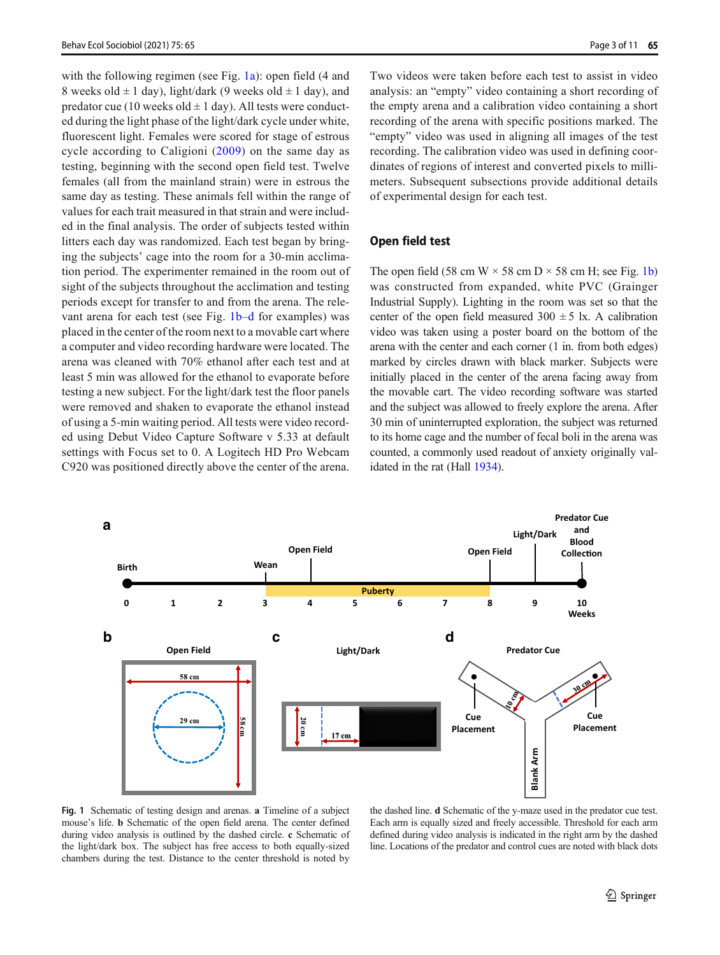<span id="page-2-0"></span>with the following regimen (see Fig. 1a): open field (4 and 8 weeks old  $\pm$  1 day), light/dark (9 weeks old  $\pm$  1 day), and predator cue (10 weeks old  $\pm$  1 day). All tests were conducted during the light phase of the light/dark cycle under white, fluorescent light. Females were scored for stage of estrous cycle according to Caligioni ([2009\)](#page-9-0) on the same day as testing, beginning with the second open field test. Twelve females (all from the mainland strain) were in estrous the same day as testing. These animals fell within the range of values for each trait measured in that strain and were included in the final analysis. The order of subjects tested within litters each day was randomized. Each test began by bringing the subjects' cage into the room for a 30-min acclimation period. The experimenter remained in the room out of sight of the subjects throughout the acclimation and testing periods except for transfer to and from the arena. The relevant arena for each test (see Fig. 1b–d for examples) was placed in the center of the room next to a movable cart where a computer and video recording hardware were located. The arena was cleaned with 70% ethanol after each test and at least 5 min was allowed for the ethanol to evaporate before testing a new subject. For the light/dark test the floor panels were removed and shaken to evaporate the ethanol instead of using a 5-min waiting period. All tests were video recorded using Debut Video Capture Software v 5.33 at default settings with Focus set to 0. A Logitech HD Pro Webcam C920 was positioned directly above the center of the arena.

Two videos were taken before each test to assist in video analysis: an "empty" video containing a short recording of the empty arena and a calibration video containing a short recording of the arena with specific positions marked. The "empty" video was used in aligning all images of the test recording. The calibration video was used in defining coordinates of regions of interest and converted pixels to millimeters. Subsequent subsections provide additional details of experimental design for each test.

## Open field test

The open field (58 cm  $W \times 58$  cm  $D \times 58$  cm H; see Fig. 1b) was constructed from expanded, white PVC (Grainger Industrial Supply). Lighting in the room was set so that the center of the open field measured  $300 \pm 5$  lx. A calibration video was taken using a poster board on the bottom of the arena with the center and each corner (1 in. from both edges) marked by circles drawn with black marker. Subjects were initially placed in the center of the arena facing away from the movable cart. The video recording software was started and the subject was allowed to freely explore the arena. After 30 min of uninterrupted exploration, the subject was returned to its home cage and the number of fecal boli in the arena was counted, a commonly used readout of anxiety originally validated in the rat (Hall [1934\)](#page-10-0).



Fig. 1 Schematic of testing design and arenas. a Timeline of a subject mouse's life. b Schematic of the open field arena. The center defined during video analysis is outlined by the dashed circle. c Schematic of the light/dark box. The subject has free access to both equally-sized chambers during the test. Distance to the center threshold is noted by

the dashed line. d Schematic of the y-maze used in the predator cue test. Each arm is equally sized and freely accessible. Threshold for each arm defined during video analysis is indicated in the right arm by the dashed line. Locations of the predator and control cues are noted with black dots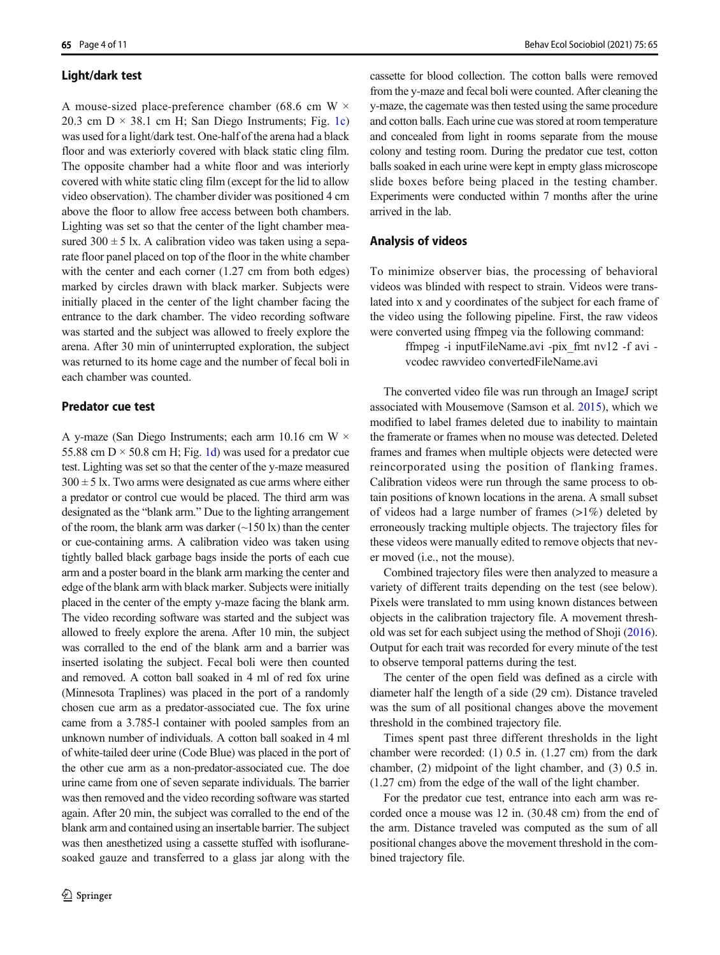## Light/dark test

A mouse-sized place-preference chamber (68.6 cm W  $\times$ 20.3 cm  $D \times 38.1$  cm H; San Diego Instruments; Fig. [1c\)](#page-2-0) was used for a light/dark test. One-half of the arena had a black floor and was exteriorly covered with black static cling film. The opposite chamber had a white floor and was interiorly covered with white static cling film (except for the lid to allow video observation). The chamber divider was positioned 4 cm above the floor to allow free access between both chambers. Lighting was set so that the center of the light chamber measured  $300 \pm 5$  lx. A calibration video was taken using a separate floor panel placed on top of the floor in the white chamber with the center and each corner  $(1.27 \text{ cm from both edges})$ marked by circles drawn with black marker. Subjects were initially placed in the center of the light chamber facing the entrance to the dark chamber. The video recording software was started and the subject was allowed to freely explore the arena. After 30 min of uninterrupted exploration, the subject was returned to its home cage and the number of fecal boli in each chamber was counted.

## Predator cue test

A y-maze (San Diego Instruments; each arm 10.16 cm W  $\times$ 55.88 cm  $D \times 50.8$  cm H; Fig. [1d](#page-2-0)) was used for a predator cue test. Lighting was set so that the center of the y-maze measured  $300 \pm 5$  lx. Two arms were designated as cue arms where either a predator or control cue would be placed. The third arm was designated as the "blank arm." Due to the lighting arrangement of the room, the blank arm was darker  $(\sim150 \text{ kg})$  than the center or cue-containing arms. A calibration video was taken using tightly balled black garbage bags inside the ports of each cue arm and a poster board in the blank arm marking the center and edge of the blank arm with black marker. Subjects were initially placed in the center of the empty y-maze facing the blank arm. The video recording software was started and the subject was allowed to freely explore the arena. After 10 min, the subject was corralled to the end of the blank arm and a barrier was inserted isolating the subject. Fecal boli were then counted and removed. A cotton ball soaked in 4 ml of red fox urine (Minnesota Traplines) was placed in the port of a randomly chosen cue arm as a predator-associated cue. The fox urine came from a 3.785-l container with pooled samples from an unknown number of individuals. A cotton ball soaked in 4 ml of white-tailed deer urine (Code Blue) was placed in the port of the other cue arm as a non-predator-associated cue. The doe urine came from one of seven separate individuals. The barrier was then removed and the video recording software was started again. After 20 min, the subject was corralled to the end of the blank arm and contained using an insertable barrier. The subject was then anesthetized using a cassette stuffed with isofluranesoaked gauze and transferred to a glass jar along with the

cassette for blood collection. The cotton balls were removed from the y-maze and fecal boli were counted. After cleaning the y-maze, the cagemate was then tested using the same procedure and cotton balls. Each urine cue was stored at room temperature and concealed from light in rooms separate from the mouse colony and testing room. During the predator cue test, cotton balls soaked in each urine were kept in empty glass microscope slide boxes before being placed in the testing chamber. Experiments were conducted within 7 months after the urine arrived in the lab.

#### Analysis of videos

To minimize observer bias, the processing of behavioral videos was blinded with respect to strain. Videos were translated into x and y coordinates of the subject for each frame of the video using the following pipeline. First, the raw videos were converted using ffmpeg via the following command:

> ffmpeg -i inputFileName.avi -pix\_fmt nv12 -f avi vcodec rawvideo convertedFileName.avi

The converted video file was run through an ImageJ script associated with Mousemove (Samson et al. [2015\)](#page-10-0), which we modified to label frames deleted due to inability to maintain the framerate or frames when no mouse was detected. Deleted frames and frames when multiple objects were detected were reincorporated using the position of flanking frames. Calibration videos were run through the same process to obtain positions of known locations in the arena. A small subset of videos had a large number of frames  $(>1\%)$  deleted by erroneously tracking multiple objects. The trajectory files for these videos were manually edited to remove objects that never moved (i.e., not the mouse).

Combined trajectory files were then analyzed to measure a variety of different traits depending on the test (see below). Pixels were translated to mm using known distances between objects in the calibration trajectory file. A movement threshold was set for each subject using the method of Shoji [\(2016\)](#page-10-0). Output for each trait was recorded for every minute of the test to observe temporal patterns during the test.

The center of the open field was defined as a circle with diameter half the length of a side (29 cm). Distance traveled was the sum of all positional changes above the movement threshold in the combined trajectory file.

Times spent past three different thresholds in the light chamber were recorded: (1) 0.5 in. (1.27 cm) from the dark chamber, (2) midpoint of the light chamber, and (3) 0.5 in. (1.27 cm) from the edge of the wall of the light chamber.

For the predator cue test, entrance into each arm was recorded once a mouse was 12 in. (30.48 cm) from the end of the arm. Distance traveled was computed as the sum of all positional changes above the movement threshold in the combined trajectory file.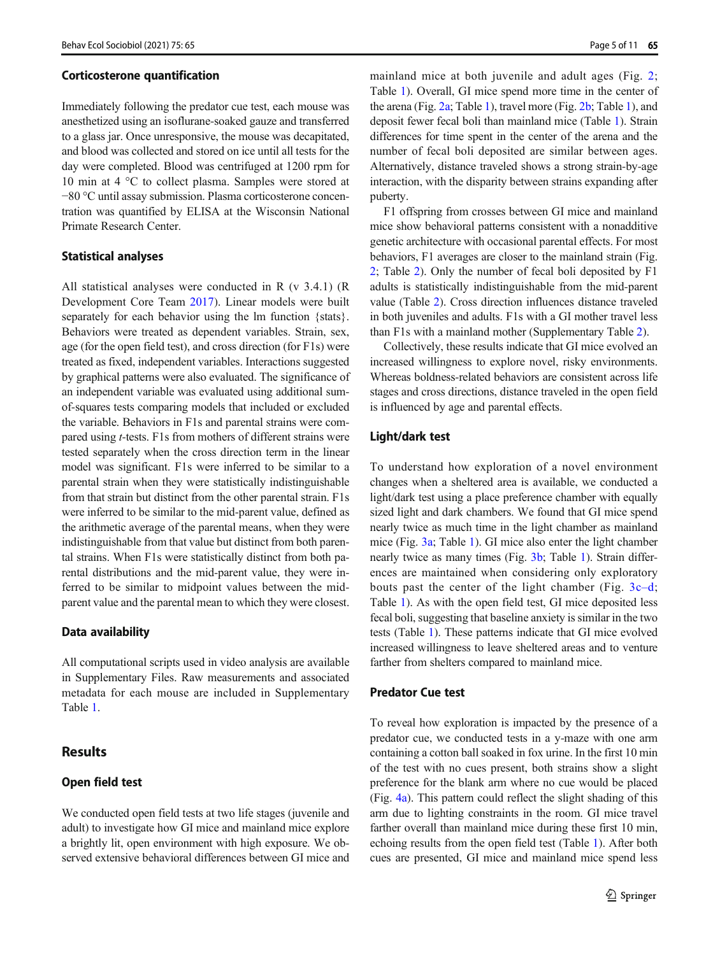#### Corticosterone quantification

Immediately following the predator cue test, each mouse was anesthetized using an isoflurane-soaked gauze and transferred to a glass jar. Once unresponsive, the mouse was decapitated, and blood was collected and stored on ice until all tests for the day were completed. Blood was centrifuged at 1200 rpm for 10 min at 4 °C to collect plasma. Samples were stored at −80 °C until assay submission. Plasma corticosterone concentration was quantified by ELISA at the Wisconsin National Primate Research Center.

## Statistical analyses

All statistical analyses were conducted in R (v 3.4.1) (R Development Core Team [2017](#page-10-0)). Linear models were built separately for each behavior using the lm function {stats}. Behaviors were treated as dependent variables. Strain, sex, age (for the open field test), and cross direction (for F1s) were treated as fixed, independent variables. Interactions suggested by graphical patterns were also evaluated. The significance of an independent variable was evaluated using additional sumof-squares tests comparing models that included or excluded the variable. Behaviors in F1s and parental strains were compared using t-tests. F1s from mothers of different strains were tested separately when the cross direction term in the linear model was significant. F1s were inferred to be similar to a parental strain when they were statistically indistinguishable from that strain but distinct from the other parental strain. F1s were inferred to be similar to the mid-parent value, defined as the arithmetic average of the parental means, when they were indistinguishable from that value but distinct from both parental strains. When F1s were statistically distinct from both parental distributions and the mid-parent value, they were inferred to be similar to midpoint values between the midparent value and the parental mean to which they were closest.

#### Data availability

All computational scripts used in video analysis are available in Supplementary Files. Raw measurements and associated metadata for each mouse are included in Supplementary Table 1.

# Results

## Open field test

We conducted open field tests at two life stages (juvenile and adult) to investigate how GI mice and mainland mice explore a brightly lit, open environment with high exposure. We observed extensive behavioral differences between GI mice and mainland mice at both juvenile and adult ages (Fig. [2;](#page-5-0) Table [1](#page-6-0)). Overall, GI mice spend more time in the center of the arena (Fig. [2a](#page-5-0); Table [1\)](#page-6-0), travel more (Fig. [2b](#page-5-0); Table [1\)](#page-6-0), and deposit fewer fecal boli than mainland mice (Table [1\)](#page-6-0). Strain differences for time spent in the center of the arena and the number of fecal boli deposited are similar between ages. Alternatively, distance traveled shows a strong strain-by-age interaction, with the disparity between strains expanding after puberty.

F1 offspring from crosses between GI mice and mainland mice show behavioral patterns consistent with a nonadditive genetic architecture with occasional parental effects. For most behaviors, F1 averages are closer to the mainland strain (Fig. [2](#page-5-0); Table [2\)](#page-7-0). Only the number of fecal boli deposited by F1 adults is statistically indistinguishable from the mid-parent value (Table [2\)](#page-7-0). Cross direction influences distance traveled in both juveniles and adults. F1s with a GI mother travel less than F1s with a mainland mother (Supplementary Table 2).

Collectively, these results indicate that GI mice evolved an increased willingness to explore novel, risky environments. Whereas boldness-related behaviors are consistent across life stages and cross directions, distance traveled in the open field is influenced by age and parental effects.

## Light/dark test

To understand how exploration of a novel environment changes when a sheltered area is available, we conducted a light/dark test using a place preference chamber with equally sized light and dark chambers. We found that GI mice spend nearly twice as much time in the light chamber as mainland mice (Fig. [3a](#page-7-0); Table [1\)](#page-6-0). GI mice also enter the light chamber nearly twice as many times (Fig. [3b](#page-7-0); Table [1](#page-6-0)). Strain differences are maintained when considering only exploratory bouts past the center of the light chamber (Fig.  $3c-d$  $3c-d$ ; Table [1](#page-6-0)). As with the open field test, GI mice deposited less fecal boli, suggesting that baseline anxiety is similar in the two tests (Table [1](#page-6-0)). These patterns indicate that GI mice evolved increased willingness to leave sheltered areas and to venture farther from shelters compared to mainland mice.

## Predator Cue test

To reveal how exploration is impacted by the presence of a predator cue, we conducted tests in a y-maze with one arm containing a cotton ball soaked in fox urine. In the first 10 min of the test with no cues present, both strains show a slight preference for the blank arm where no cue would be placed (Fig. [4a\)](#page-8-0). This pattern could reflect the slight shading of this arm due to lighting constraints in the room. GI mice travel farther overall than mainland mice during these first 10 min, echoing results from the open field test (Table [1](#page-6-0)). After both cues are presented, GI mice and mainland mice spend less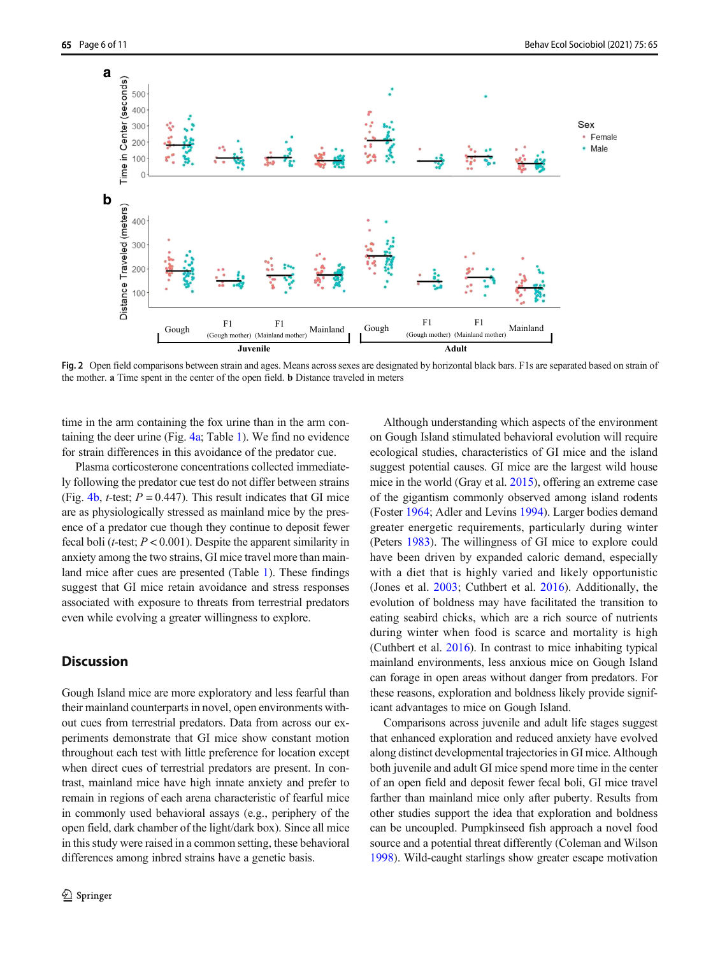<span id="page-5-0"></span>

Fig. 2 Open field comparisons between strain and ages. Means across sexes are designated by horizontal black bars. F1s are separated based on strain of the mother. a Time spent in the center of the open field. b Distance traveled in meters

time in the arm containing the fox urine than in the arm containing the deer urine (Fig. [4a;](#page-8-0) Table [1](#page-6-0)). We find no evidence for strain differences in this avoidance of the predator cue.

Plasma corticosterone concentrations collected immediately following the predator cue test do not differ between strains (Fig. [4b](#page-8-0), *t*-test;  $P = 0.447$ ). This result indicates that GI mice are as physiologically stressed as mainland mice by the presence of a predator cue though they continue to deposit fewer fecal boli ( $t$ -test;  $P < 0.001$ ). Despite the apparent similarity in anxiety among the two strains, GI mice travel more than mainland mice after cues are presented (Table [1](#page-6-0)). These findings suggest that GI mice retain avoidance and stress responses associated with exposure to threats from terrestrial predators even while evolving a greater willingness to explore.

## **Discussion**

Gough Island mice are more exploratory and less fearful than their mainland counterparts in novel, open environments without cues from terrestrial predators. Data from across our experiments demonstrate that GI mice show constant motion throughout each test with little preference for location except when direct cues of terrestrial predators are present. In contrast, mainland mice have high innate anxiety and prefer to remain in regions of each arena characteristic of fearful mice in commonly used behavioral assays (e.g., periphery of the open field, dark chamber of the light/dark box). Since all mice in this study were raised in a common setting, these behavioral differences among inbred strains have a genetic basis.

Although understanding which aspects of the environment on Gough Island stimulated behavioral evolution will require ecological studies, characteristics of GI mice and the island suggest potential causes. GI mice are the largest wild house mice in the world (Gray et al. [2015\)](#page-10-0), offering an extreme case of the gigantism commonly observed among island rodents (Foster [1964](#page-10-0); Adler and Levins [1994\)](#page-9-0). Larger bodies demand greater energetic requirements, particularly during winter (Peters [1983\)](#page-10-0). The willingness of GI mice to explore could have been driven by expanded caloric demand, especially with a diet that is highly varied and likely opportunistic (Jones et al. [2003;](#page-10-0) Cuthbert et al. [2016](#page-9-0)). Additionally, the evolution of boldness may have facilitated the transition to eating seabird chicks, which are a rich source of nutrients during winter when food is scarce and mortality is high (Cuthbert et al. [2016\)](#page-9-0). In contrast to mice inhabiting typical mainland environments, less anxious mice on Gough Island can forage in open areas without danger from predators. For these reasons, exploration and boldness likely provide significant advantages to mice on Gough Island.

Comparisons across juvenile and adult life stages suggest that enhanced exploration and reduced anxiety have evolved along distinct developmental trajectories in GI mice. Although both juvenile and adult GI mice spend more time in the center of an open field and deposit fewer fecal boli, GI mice travel farther than mainland mice only after puberty. Results from other studies support the idea that exploration and boldness can be uncoupled. Pumpkinseed fish approach a novel food source and a potential threat differently (Coleman and Wilson [1998\)](#page-9-0). Wild-caught starlings show greater escape motivation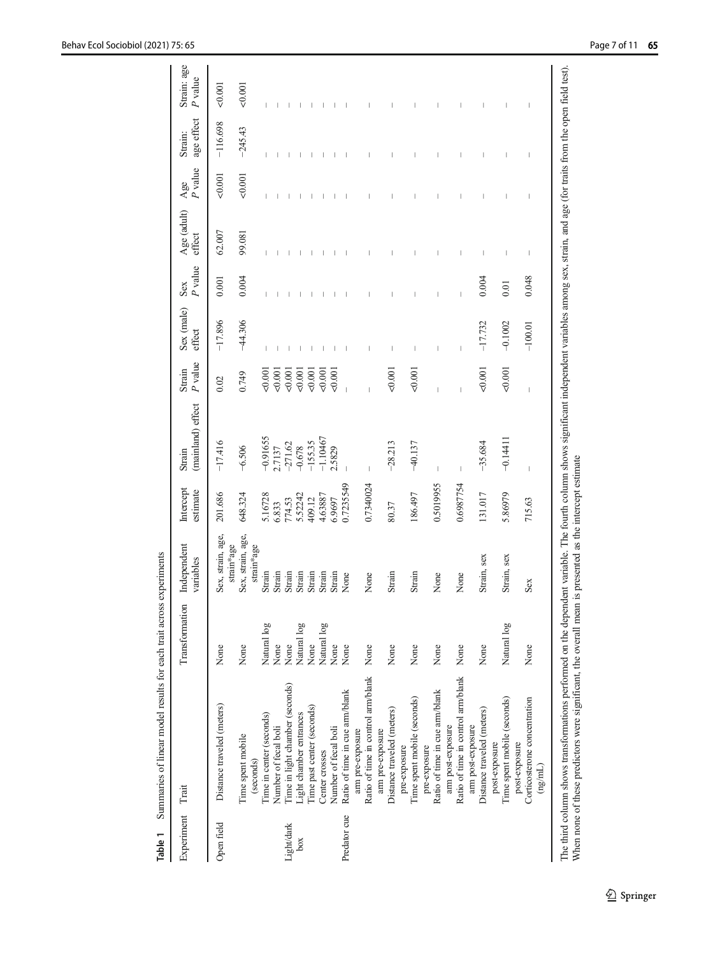<span id="page-6-0"></span>

| Table 1      | Summaries of linear model results for each trait across                                                                                                                                                                                                                    |                | experiments                            |                       |                             |                                                                                                                                                                                                                                                                                                                                                                                  |                      |                |                       |                |                       |                        |
|--------------|----------------------------------------------------------------------------------------------------------------------------------------------------------------------------------------------------------------------------------------------------------------------------|----------------|----------------------------------------|-----------------------|-----------------------------|----------------------------------------------------------------------------------------------------------------------------------------------------------------------------------------------------------------------------------------------------------------------------------------------------------------------------------------------------------------------------------|----------------------|----------------|-----------------------|----------------|-----------------------|------------------------|
| Experiment   | Trait                                                                                                                                                                                                                                                                      | Transformation | Independent<br>variables               | Intercept<br>estimate | (mainland) effect<br>Strain | P value<br>Strain                                                                                                                                                                                                                                                                                                                                                                | Sex (male)<br>effect | P value<br>Sex | Age (adult)<br>effect | P value<br>Age | age effect<br>Strain: | Strain: age<br>P value |
| Open field   | Distance traveled (meters)                                                                                                                                                                                                                                                 | None           | Sex, strain, age,<br>strain*age        | 201.686               | $-17.416$                   | 0.02                                                                                                                                                                                                                                                                                                                                                                             | $-17.896$            | 0.001          | 62.007                | 0.001          | $-116.698$            | 0.001                  |
|              | Time spent mobile<br>(seconds)                                                                                                                                                                                                                                             | None           | Sex, strain, age,<br>strain*age        | 648.324               | $-6.506$                    | 0.749                                                                                                                                                                                                                                                                                                                                                                            | $-44.306$            | 0.004          | 99.081                | 0.001          | $-245.43$             | 0.001                  |
|              | Time in center (seconds)                                                                                                                                                                                                                                                   | Natural log    | Strain                                 | 5.16728               | $-0.91655$                  | 0.001                                                                                                                                                                                                                                                                                                                                                                            | I                    |                | I                     | I              |                       |                        |
|              | Number of fecal boli                                                                                                                                                                                                                                                       | None           | Strain                                 | 6.833                 | 2.7137                      | 0.001                                                                                                                                                                                                                                                                                                                                                                            |                      |                | I                     | I              |                       |                        |
| Light/dark   | Time in light chamber (seconds)                                                                                                                                                                                                                                            | None           | Strain                                 | 774.53                | $-271.62$                   | 0.001                                                                                                                                                                                                                                                                                                                                                                            |                      |                |                       |                |                       |                        |
| box          | Light chamber entrances                                                                                                                                                                                                                                                    | Natural log    | Strain                                 | 5.52242               | $-0.678$                    | 0.001                                                                                                                                                                                                                                                                                                                                                                            |                      |                |                       |                |                       |                        |
|              | Time past center (seconds)                                                                                                                                                                                                                                                 | None           | Strain                                 | 409.12                | $-155.35$                   | 0.001                                                                                                                                                                                                                                                                                                                                                                            |                      |                |                       |                |                       |                        |
|              | Center crosses                                                                                                                                                                                                                                                             | Natural log    | Strain                                 | 4.63887               | $-1.10467$                  | 0.001                                                                                                                                                                                                                                                                                                                                                                            |                      |                |                       |                |                       |                        |
|              | Number of fecal boli                                                                                                                                                                                                                                                       | None           | Strain                                 | 6.9697                | 2.5829                      | 0.001                                                                                                                                                                                                                                                                                                                                                                            |                      |                |                       |                |                       |                        |
| Predator cue | Ratio of time in cue arm/blank                                                                                                                                                                                                                                             | None           | None                                   | 0.7235549             |                             |                                                                                                                                                                                                                                                                                                                                                                                  |                      |                |                       |                |                       |                        |
|              | Ratio of time in control arm/blank<br>arm pre-exposure                                                                                                                                                                                                                     | None           | None                                   | 0.7340024             |                             |                                                                                                                                                                                                                                                                                                                                                                                  |                      |                |                       |                |                       |                        |
|              | arm pre-exposure                                                                                                                                                                                                                                                           |                |                                        |                       |                             |                                                                                                                                                                                                                                                                                                                                                                                  |                      |                |                       |                |                       |                        |
|              | Distance traveled (meters)                                                                                                                                                                                                                                                 | None           | Strain                                 | 80.37                 | $-28.213$                   | 0.001                                                                                                                                                                                                                                                                                                                                                                            |                      |                |                       |                |                       |                        |
|              | pre-exposure                                                                                                                                                                                                                                                               | None           | Strain                                 | 186.497               | $-40.137$                   | 0.001                                                                                                                                                                                                                                                                                                                                                                            |                      |                |                       |                |                       |                        |
|              | Time spent mobile (seconds)<br>pre-exposure                                                                                                                                                                                                                                |                |                                        |                       |                             |                                                                                                                                                                                                                                                                                                                                                                                  | I                    |                |                       |                |                       |                        |
|              | Ratio of time in cue arm/blank                                                                                                                                                                                                                                             | None           | None                                   | 0.5019955             |                             |                                                                                                                                                                                                                                                                                                                                                                                  |                      |                | I                     |                |                       |                        |
|              | Ratio of time in control arm/blank<br>arm post-exposure                                                                                                                                                                                                                    | None           | None                                   | 0.6987754             |                             |                                                                                                                                                                                                                                                                                                                                                                                  | I                    | I              | I                     | I              |                       |                        |
|              | Distance traveled (meters)<br>arm post-exposure                                                                                                                                                                                                                            | None           | Strain, sex                            | 131.017               | $-35.684$                   | 0.001                                                                                                                                                                                                                                                                                                                                                                            | $-17.732$            | 0.004          | I                     | I              | I                     |                        |
|              | post-exposure                                                                                                                                                                                                                                                              |                |                                        |                       |                             |                                                                                                                                                                                                                                                                                                                                                                                  |                      |                |                       |                |                       |                        |
|              | Time spent mobile (seconds)<br>post-exposure                                                                                                                                                                                                                               | Natural log    | Strain, sex                            | 5.86979               | $-0.14411$                  | 0.001                                                                                                                                                                                                                                                                                                                                                                            | $-0.1002$            | 0.01           | T                     | I              | I                     |                        |
|              | Corticosterone concentration                                                                                                                                                                                                                                               | None           | Sex                                    | 715.63                | $\overline{\phantom{a}}$    | $\begin{array}{c} \rule{0pt}{2.5ex} \rule{0pt}{2.5ex} \rule{0pt}{2.5ex} \rule{0pt}{2.5ex} \rule{0pt}{2.5ex} \rule{0pt}{2.5ex} \rule{0pt}{2.5ex} \rule{0pt}{2.5ex} \rule{0pt}{2.5ex} \rule{0pt}{2.5ex} \rule{0pt}{2.5ex} \rule{0pt}{2.5ex} \rule{0pt}{2.5ex} \rule{0pt}{2.5ex} \rule{0pt}{2.5ex} \rule{0pt}{2.5ex} \rule{0pt}{2.5ex} \rule{0pt}{2.5ex} \rule{0pt}{2.5ex} \rule{0$ | $-100.01$            | 0.048          | $\mid$                | I              | I                     | I                      |
|              | $(\text{m}^{\text{sum}})$                                                                                                                                                                                                                                                  |                |                                        |                       |                             |                                                                                                                                                                                                                                                                                                                                                                                  |                      |                |                       |                |                       |                        |
|              | The third column shows transformations performed on the dependent variable. The fourth column shows significant independent variables among sex, strain, and age (for traits from the open field test)<br>When none of these predictors were significant, the overall mean |                | is presented as the intercept estimate |                       |                             |                                                                                                                                                                                                                                                                                                                                                                                  |                      |                |                       |                |                       |                        |
|              |                                                                                                                                                                                                                                                                            |                |                                        |                       |                             |                                                                                                                                                                                                                                                                                                                                                                                  |                      |                |                       |                |                       |                        |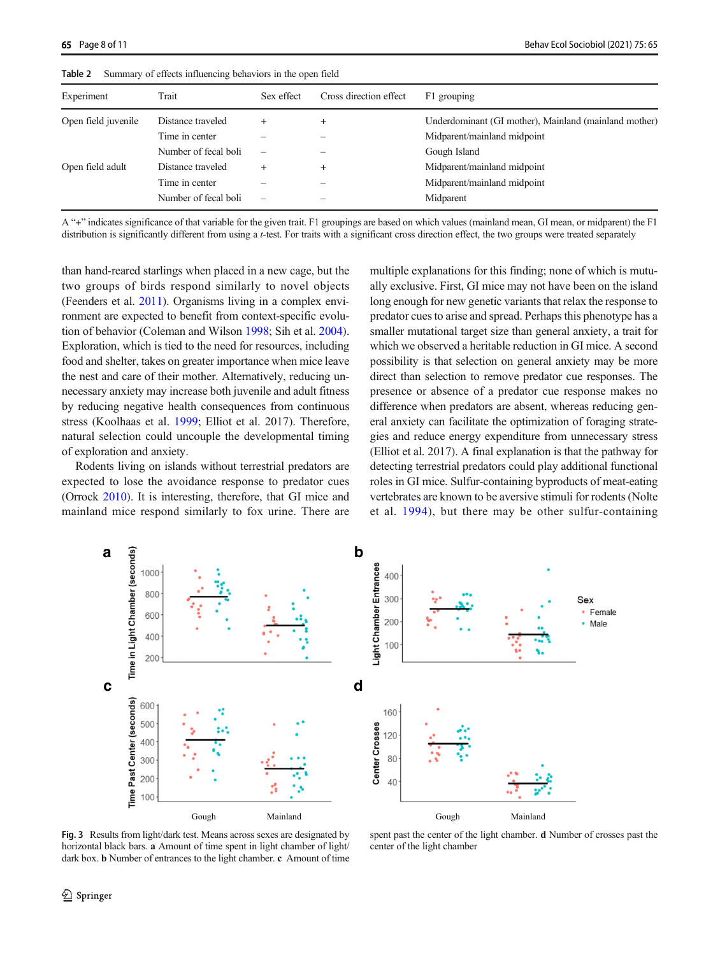| Experiment          | Trait                | Sex effect               | Cross direction effect | F1 grouping                                           |
|---------------------|----------------------|--------------------------|------------------------|-------------------------------------------------------|
| Open field juvenile | Distance traveled    |                          | $\pm$                  | Underdominant (GI mother), Mainland (mainland mother) |
|                     | Time in center       |                          |                        | Midparent/mainland midpoint                           |
|                     | Number of fecal boli |                          |                        | Gough Island                                          |
| Open field adult    | Distance traveled    |                          | $\pm$                  | Midparent/mainland midpoint                           |
|                     | Time in center       |                          |                        | Midparent/mainland midpoint                           |
|                     | Number of fecal boli | $\overline{\phantom{0}}$ | -                      | Midparent                                             |

<span id="page-7-0"></span>Table 2 Summary of effects influencing behaviors in the open field

A "+" indicates significance of that variable for the given trait. F1 groupings are based on which values (mainland mean, GI mean, or midparent) the F1 distribution is significantly different from using a t-test. For traits with a significant cross direction effect, the two groups were treated separately

than hand-reared starlings when placed in a new cage, but the two groups of birds respond similarly to novel objects (Feenders et al. [2011\)](#page-10-0). Organisms living in a complex environment are expected to benefit from context-specific evolution of behavior (Coleman and Wilson [1998](#page-9-0); Sih et al. [2004\)](#page-10-0). Exploration, which is tied to the need for resources, including food and shelter, takes on greater importance when mice leave the nest and care of their mother. Alternatively, reducing unnecessary anxiety may increase both juvenile and adult fitness by reducing negative health consequences from continuous stress (Koolhaas et al. [1999;](#page-10-0) Elliot et al. 2017). Therefore, natural selection could uncouple the developmental timing of exploration and anxiety.

Rodents living on islands without terrestrial predators are expected to lose the avoidance response to predator cues (Orrock [2010\)](#page-10-0). It is interesting, therefore, that GI mice and mainland mice respond similarly to fox urine. There are multiple explanations for this finding; none of which is mutually exclusive. First, GI mice may not have been on the island long enough for new genetic variants that relax the response to predator cues to arise and spread. Perhaps this phenotype has a smaller mutational target size than general anxiety, a trait for which we observed a heritable reduction in GI mice. A second possibility is that selection on general anxiety may be more direct than selection to remove predator cue responses. The presence or absence of a predator cue response makes no difference when predators are absent, whereas reducing general anxiety can facilitate the optimization of foraging strategies and reduce energy expenditure from unnecessary stress (Elliot et al. 2017). A final explanation is that the pathway for detecting terrestrial predators could play additional functional roles in GI mice. Sulfur-containing byproducts of meat-eating vertebrates are known to be aversive stimuli for rodents (Nolte et al. [1994](#page-10-0)), but there may be other sulfur-containing



Fig. 3 Results from light/dark test. Means across sexes are designated by horizontal black bars. **a** Amount of time spent in light chamber of light/ dark box. **b** Number of entrances to the light chamber. **c** Amount of time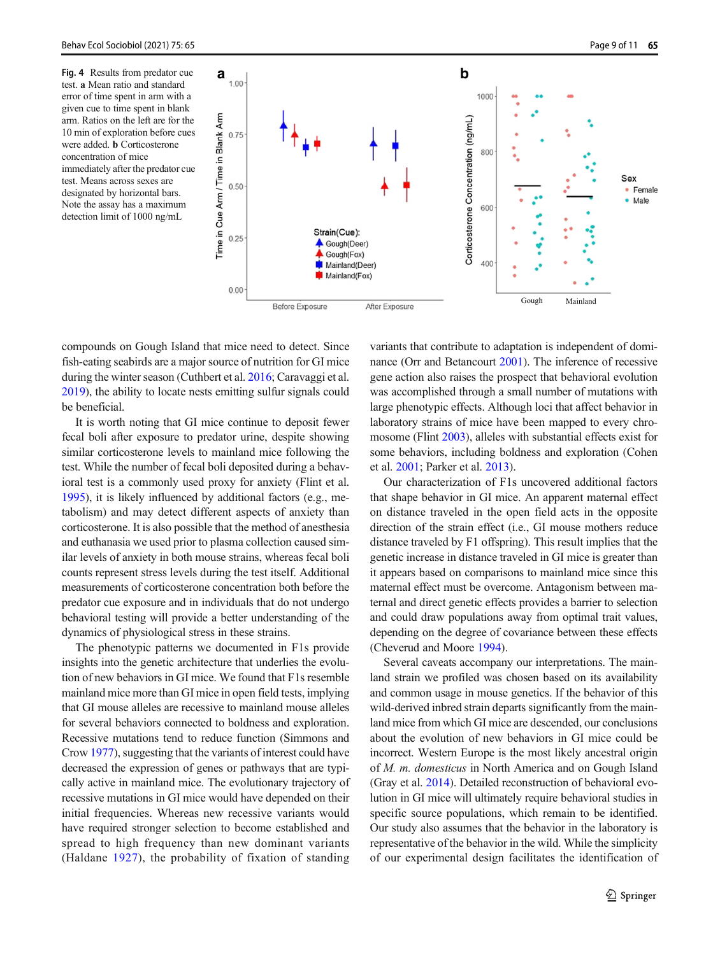<span id="page-8-0"></span>Fig. 4 Results from predator cue test. a Mean ratio and standard error of time spent in arm with a given cue to time spent in blank arm. Ratios on the left are for the 10 min of exploration before cues were added. b Corticosterone concentration of mice immediately after the predator cue test. Means across sexes are designated by horizontal bars. Note the assay has a maximum detection limit of 1000 ng/mL



compounds on Gough Island that mice need to detect. Since fish-eating seabirds are a major source of nutrition for GI mice during the winter season (Cuthbert et al. [2016;](#page-9-0) Caravaggi et al. [2019\)](#page-9-0), the ability to locate nests emitting sulfur signals could be beneficial.

It is worth noting that GI mice continue to deposit fewer fecal boli after exposure to predator urine, despite showing similar corticosterone levels to mainland mice following the test. While the number of fecal boli deposited during a behavioral test is a commonly used proxy for anxiety (Flint et al. [1995\)](#page-10-0), it is likely influenced by additional factors (e.g., metabolism) and may detect different aspects of anxiety than corticosterone. It is also possible that the method of anesthesia and euthanasia we used prior to plasma collection caused similar levels of anxiety in both mouse strains, whereas fecal boli counts represent stress levels during the test itself. Additional measurements of corticosterone concentration both before the predator cue exposure and in individuals that do not undergo behavioral testing will provide a better understanding of the dynamics of physiological stress in these strains.

The phenotypic patterns we documented in F1s provide insights into the genetic architecture that underlies the evolution of new behaviors in GI mice. We found that F1s resemble mainland mice more than GI mice in open field tests, implying that GI mouse alleles are recessive to mainland mouse alleles for several behaviors connected to boldness and exploration. Recessive mutations tend to reduce function (Simmons and Crow [1977](#page-10-0)), suggesting that the variants of interest could have decreased the expression of genes or pathways that are typically active in mainland mice. The evolutionary trajectory of recessive mutations in GI mice would have depended on their initial frequencies. Whereas new recessive variants would have required stronger selection to become established and spread to high frequency than new dominant variants (Haldane [1927](#page-10-0)), the probability of fixation of standing

variants that contribute to adaptation is independent of dominance (Orr and Betancourt [2001\)](#page-10-0). The inference of recessive gene action also raises the prospect that behavioral evolution was accomplished through a small number of mutations with large phenotypic effects. Although loci that affect behavior in laboratory strains of mice have been mapped to every chromosome (Flint [2003](#page-10-0)), alleles with substantial effects exist for some behaviors, including boldness and exploration (Cohen et al. [2001](#page-9-0); Parker et al. [2013](#page-10-0)).

Our characterization of F1s uncovered additional factors that shape behavior in GI mice. An apparent maternal effect on distance traveled in the open field acts in the opposite direction of the strain effect (i.e., GI mouse mothers reduce distance traveled by F1 offspring). This result implies that the genetic increase in distance traveled in GI mice is greater than it appears based on comparisons to mainland mice since this maternal effect must be overcome. Antagonism between maternal and direct genetic effects provides a barrier to selection and could draw populations away from optimal trait values, depending on the degree of covariance between these effects (Cheverud and Moore [1994\)](#page-9-0).

Several caveats accompany our interpretations. The mainland strain we profiled was chosen based on its availability and common usage in mouse genetics. If the behavior of this wild-derived inbred strain departs significantly from the mainland mice from which GI mice are descended, our conclusions about the evolution of new behaviors in GI mice could be incorrect. Western Europe is the most likely ancestral origin of M. m. domesticus in North America and on Gough Island (Gray et al. [2014](#page-10-0)). Detailed reconstruction of behavioral evolution in GI mice will ultimately require behavioral studies in specific source populations, which remain to be identified. Our study also assumes that the behavior in the laboratory is representative of the behavior in the wild. While the simplicity of our experimental design facilitates the identification of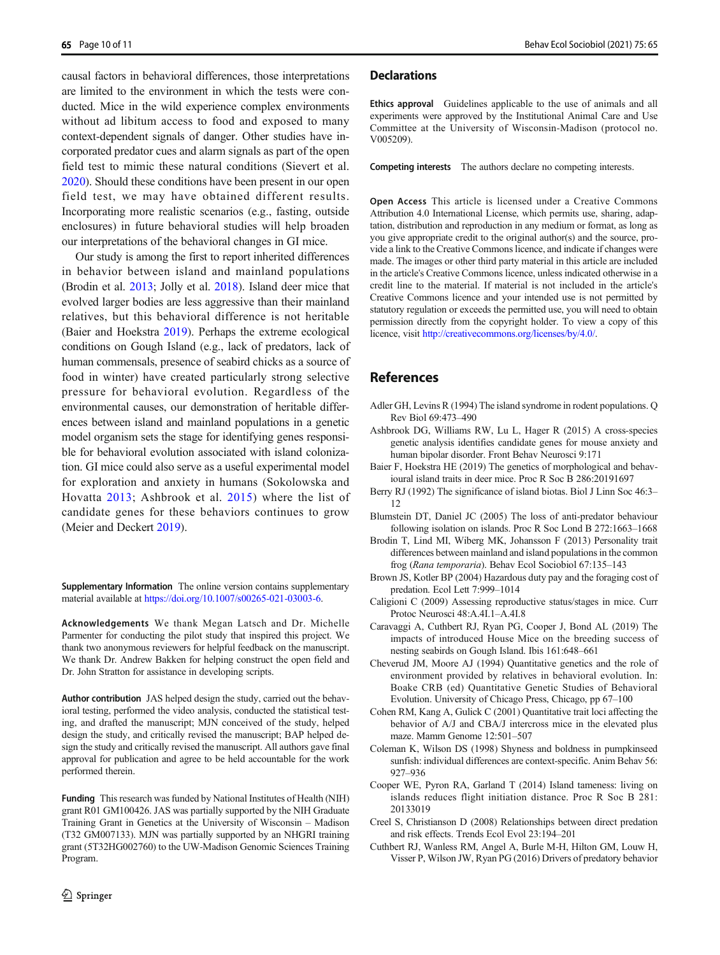<span id="page-9-0"></span>65 Page 10 of 11 Behav Ecol Sociobiol (2021) 75: 65

causal factors in behavioral differences, those interpretations are limited to the environment in which the tests were conducted. Mice in the wild experience complex environments without ad libitum access to food and exposed to many context-dependent signals of danger. Other studies have incorporated predator cues and alarm signals as part of the open field test to mimic these natural conditions (Sievert et al. [2020\)](#page-10-0). Should these conditions have been present in our open field test, we may have obtained different results. Incorporating more realistic scenarios (e.g., fasting, outside enclosures) in future behavioral studies will help broaden our interpretations of the behavioral changes in GI mice.

Our study is among the first to report inherited differences in behavior between island and mainland populations (Brodin et al. 2013; Jolly et al. [2018](#page-10-0)). Island deer mice that evolved larger bodies are less aggressive than their mainland relatives, but this behavioral difference is not heritable (Baier and Hoekstra 2019). Perhaps the extreme ecological conditions on Gough Island (e.g., lack of predators, lack of human commensals, presence of seabird chicks as a source of food in winter) have created particularly strong selective pressure for behavioral evolution. Regardless of the environmental causes, our demonstration of heritable differences between island and mainland populations in a genetic model organism sets the stage for identifying genes responsible for behavioral evolution associated with island colonization. GI mice could also serve as a useful experimental model for exploration and anxiety in humans (Sokolowska and Hovatta [2013](#page-10-0); Ashbrook et al. 2015) where the list of candidate genes for these behaviors continues to grow (Meier and Deckert [2019](#page-10-0)).

Supplementary Information The online version contains supplementary material available at <https://doi.org/10.1007/s00265-021-03003-6>.

Acknowledgements We thank Megan Latsch and Dr. Michelle Parmenter for conducting the pilot study that inspired this project. We thank two anonymous reviewers for helpful feedback on the manuscript. We thank Dr. Andrew Bakken for helping construct the open field and Dr. John Stratton for assistance in developing scripts.

Author contribution JAS helped design the study, carried out the behavioral testing, performed the video analysis, conducted the statistical testing, and drafted the manuscript; MJN conceived of the study, helped design the study, and critically revised the manuscript; BAP helped design the study and critically revised the manuscript. All authors gave final approval for publication and agree to be held accountable for the work performed therein.

Funding This research was funded by National Institutes of Health (NIH) grant R01 GM100426. JAS was partially supported by the NIH Graduate Training Grant in Genetics at the University of Wisconsin – Madison (T32 GM007133). MJN was partially supported by an NHGRI training grant (5T32HG002760) to the UW-Madison Genomic Sciences Training Program.

#### **Declarations**

Ethics approval Guidelines applicable to the use of animals and all experiments were approved by the Institutional Animal Care and Use Committee at the University of Wisconsin-Madison (protocol no. V005209).

Competing interests The authors declare no competing interests.

Open Access This article is licensed under a Creative Commons Attribution 4.0 International License, which permits use, sharing, adaptation, distribution and reproduction in any medium or format, as long as you give appropriate credit to the original author(s) and the source, provide a link to the Creative Commons licence, and indicate if changes were made. The images or other third party material in this article are included in the article's Creative Commons licence, unless indicated otherwise in a credit line to the material. If material is not included in the article's Creative Commons licence and your intended use is not permitted by statutory regulation or exceeds the permitted use, you will need to obtain permission directly from the copyright holder. To view a copy of this licence, visit <http://creativecommons.org/licenses/by/4.0/>.

## References

- Adler GH, Levins R (1994) The island syndrome in rodent populations. Q Rev Biol 69:473–490
- Ashbrook DG, Williams RW, Lu L, Hager R (2015) A cross-species genetic analysis identifies candidate genes for mouse anxiety and human bipolar disorder. Front Behav Neurosci 9:171
- Baier F, Hoekstra HE (2019) The genetics of morphological and behavioural island traits in deer mice. Proc R Soc B 286:20191697
- Berry RJ (1992) The significance of island biotas. Biol J Linn Soc 46:3– 12
- Blumstein DT, Daniel JC (2005) The loss of anti-predator behaviour following isolation on islands. Proc R Soc Lond B 272:1663–1668
- Brodin T, Lind MI, Wiberg MK, Johansson F (2013) Personality trait differences between mainland and island populations in the common frog (Rana temporaria). Behav Ecol Sociobiol 67:135–143
- Brown JS, Kotler BP (2004) Hazardous duty pay and the foraging cost of predation. Ecol Lett 7:999–1014
- Caligioni C (2009) Assessing reproductive status/stages in mice. Curr Protoc Neurosci 48:A.4I.1–A.4I.8
- Caravaggi A, Cuthbert RJ, Ryan PG, Cooper J, Bond AL (2019) The impacts of introduced House Mice on the breeding success of nesting seabirds on Gough Island. Ibis 161:648–661
- Cheverud JM, Moore AJ (1994) Quantitative genetics and the role of environment provided by relatives in behavioral evolution. In: Boake CRB (ed) Quantitative Genetic Studies of Behavioral Evolution. University of Chicago Press, Chicago, pp 67–100
- Cohen RM, Kang A, Gulick C (2001) Quantitative trait loci affecting the behavior of A/J and CBA/J intercross mice in the elevated plus maze. Mamm Genome 12:501–507
- Coleman K, Wilson DS (1998) Shyness and boldness in pumpkinseed sunfish: individual differences are context-specific. Anim Behav 56: 927–936
- Cooper WE, Pyron RA, Garland T (2014) Island tameness: living on islands reduces flight initiation distance. Proc R Soc B 281: 20133019
- Creel S, Christianson D (2008) Relationships between direct predation and risk effects. Trends Ecol Evol 23:194–201
- Cuthbert RJ, Wanless RM, Angel A, Burle M-H, Hilton GM, Louw H, Visser P, Wilson JW, Ryan PG (2016) Drivers of predatory behavior